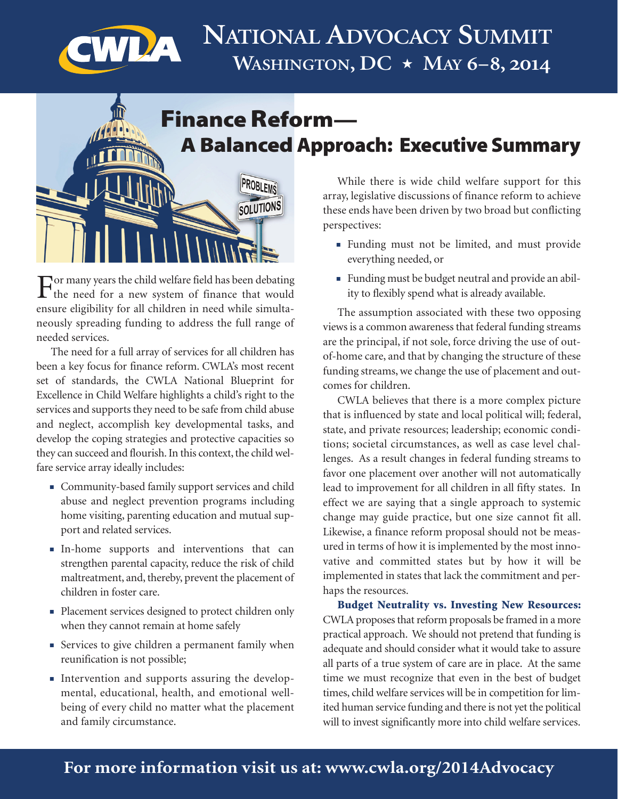

## **Finance Reform— A Balanced Approach: Executive Summary**



For many years the child welfare field has been debating<br>the need for a new system of finance that would ensure eligibility for all children in need while simultaneously spreading funding to address the full range of needed services.

The need for a full array of services for all children has been a key focus for finance reform. CWLA's most recent set of standards, the CWLA National Blueprint for Excellence in Child Welfare highlights a child's right to the services and supports they need to be safe from child abuse and neglect, accomplish key developmental tasks, and develop the coping strategies and protective capacities so they can succeed and flourish. In this context, the child welfare service array ideally includes:

- <sup>n</sup> Community-based family support services and child abuse and neglect prevention programs including home visiting, parenting education and mutual support and related services.
- <sup>n</sup> In-home supports and interventions that can strengthen parental capacity, reduce the risk of child maltreatment, and, thereby, prevent the placement of children in foster care.
- <sup>n</sup> Placement services designed to protect children only when they cannot remain at home safely
- **Exercices** to give children a permanent family when reunification is not possible;
- <sup>n</sup> Intervention and supports assuring the developmental, educational, health, and emotional wellbeing of every child no matter what the placement and family circumstance.

While there is wide child welfare support for this array, legislative discussions of finance reform to achieve these ends have been driven by two broad but conflicting perspectives:

- <sup>n</sup> Funding must not be limited, and must provide everything needed, or
- <sup>n</sup> Funding must be budget neutral and provide an ability to flexibly spend what is already available.

The assumption associated with these two opposing views is a common awareness that federal funding streams are the principal, if not sole, force driving the use of outof-home care, and that by changing the structure of these funding streams, we change the use of placement and outcomes for children.

CWLA believes that there is a more complex picture that is influenced by state and local political will; federal, state, and private resources; leadership; economic conditions; societal circumstances, as well as case level challenges. As a result changes in federal funding streams to favor one placement over another will not automatically lead to improvement for all children in all fifty states. In effect we are saying that a single approach to systemic change may guide practice, but one size cannot fit all. Likewise, a finance reform proposal should not be measured in terms of how it is implemented by the most innovative and committed states but by how it will be implemented in states that lack the commitment and perhaps the resources.

**Budget Neutrality vs. Investing New Resources:** CWLA proposes that reform proposals be framed in a more practical approach. We should not pretend that funding is adequate and should consider what it would take to assure all parts of a true system of care are in place. At the same time we must recognize that even in the best of budget times, child welfare services will be in competition for limited human service funding and there is not yet the political will to invest significantly more into child welfare services.